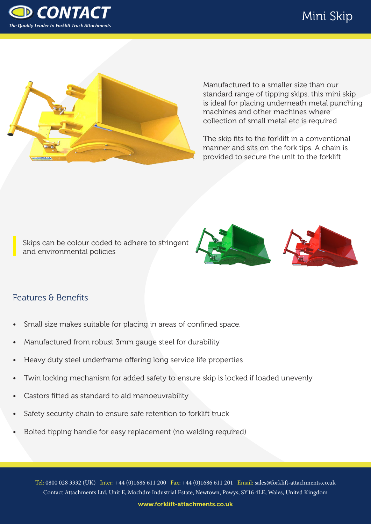





Manufactured to a smaller size than our standard range of tipping skips, this mini skip is ideal for placing underneath metal punching machines and other machines where collection of small metal etc is required

The skip fits to the forklift in a conventional manner and sits on the fork tips. A chain is provided to secure the unit to the forklift

Skips can be colour coded to adhere to stringent and environmental policies



## Features & Benefits

- Small size makes suitable for placing in areas of confined space.
- Manufactured from robust 3mm gauge steel for durability
- Heavy duty steel underframe offering long service life properties
- Twin locking mechanism for added safety to ensure skip is locked if loaded unevenly
- Castors fitted as standard to aid manoeuvrability
- Safety security chain to ensure safe retention to forklift truck
- Bolted tipping handle for easy replacement (no welding required)

Tel: 0800 028 3332 (UK) Inter: +44 (0)1686 611 200 Fax: +44 (0)1686 611 201 Email: sales@forklift-attachments.co.uk Contact Attachments Ltd, Unit E, Mochdre Industrial Estate, Newtown, Powys, SY16 4LE, Wales, United Kingdom

www.forklift-attachments.co.uk